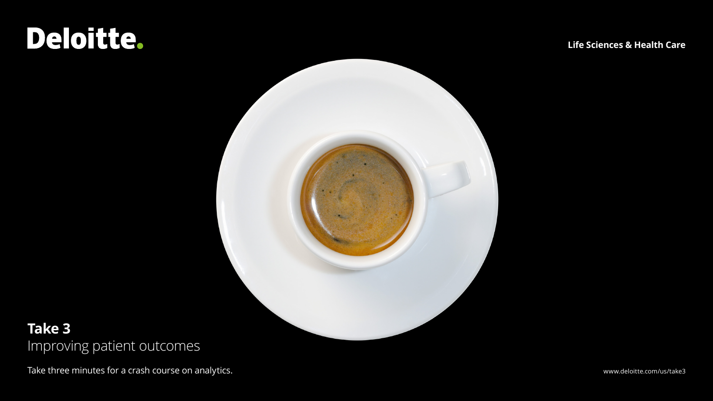# Deloitte.

**Life Sciences & Health Care**



### **Take 3** Improving patient outcomes

Take three minutes for a crash course on analytics. The state of the state of the state of the state of the state of the state of the state of the state of the state of the state of the state of the state of the state of t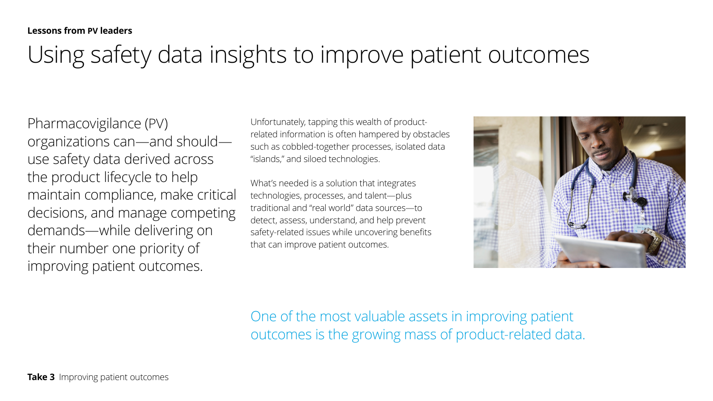### Using safety data insights to improve patient outcomes

Pharmacovigilance (PV) organizations can—and should use safety data derived across the product lifecycle to help maintain compliance, make critical decisions, and manage competing demands—while delivering on their number one priority of improving patient outcomes.

Unfortunately, tapping this wealth of productrelated information is often hampered by obstacles such as cobbled-together processes, isolated data "islands," and siloed technologies.

What's needed is a solution that integrates technologies, processes, and talent—plus traditional and "real world" data sources—to detect, assess, understand, and help prevent safety-related issues while uncovering benefits that can improve patient outcomes.



One of the most valuable assets in improving patient outcomes is the growing mass of product-related data.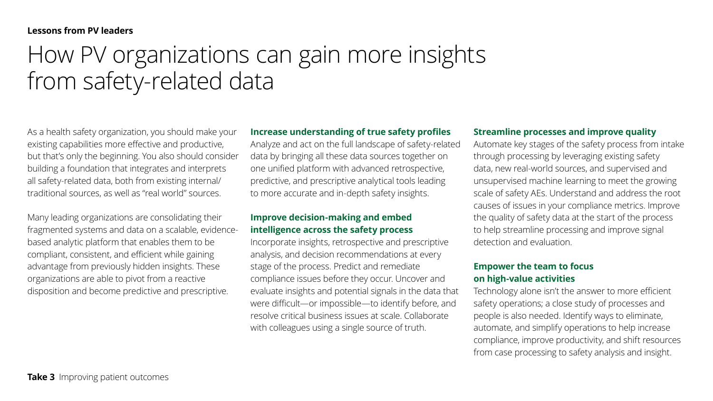### **Lessons from PV leaders**

## How PV organizations can gain more insights from safety-related data

As a health safety organization, you should make your existing capabilities more effective and productive, but that's only the beginning. You also should consider building a foundation that integrates and interprets all safety-related data, both from existing internal/ traditional sources, as well as "real world" sources.

Many leading organizations are consolidating their fragmented systems and data on a scalable, evidencebased analytic platform that enables them to be compliant, consistent, and efficient while gaining advantage from previously hidden insights. These organizations are able to pivot from a reactive disposition and become predictive and prescriptive.

### **Increase understanding of true safety profiles**

Analyze and act on the full landscape of safety-related data by bringing all these data sources together on one unified platform with advanced retrospective, predictive, and prescriptive analytical tools leading to more accurate and in-depth safety insights.

### **Improve decision-making and embed intelligence across the safety process**

Incorporate insights, retrospective and prescriptive analysis, and decision recommendations at every stage of the process. Predict and remediate compliance issues before they occur. Uncover and evaluate insights and potential signals in the data that were difficult—or impossible—to identify before, and resolve critical business issues at scale. Collaborate with colleagues using a single source of truth.

#### **Streamline processes and improve quality**

Automate key stages of the safety process from intake through processing by leveraging existing safety data, new real-world sources, and supervised and unsupervised machine learning to meet the growing scale of safety AEs. Understand and address the root causes of issues in your compliance metrics. Improve the quality of safety data at the start of the process to help streamline processing and improve signal detection and evaluation.

### **Empower the team to focus on high-value activities**

Technology alone isn't the answer to more efficient safety operations; a close study of processes and people is also needed. Identify ways to eliminate, automate, and simplify operations to help increase compliance, improve productivity, and shift resources from case processing to safety analysis and insight.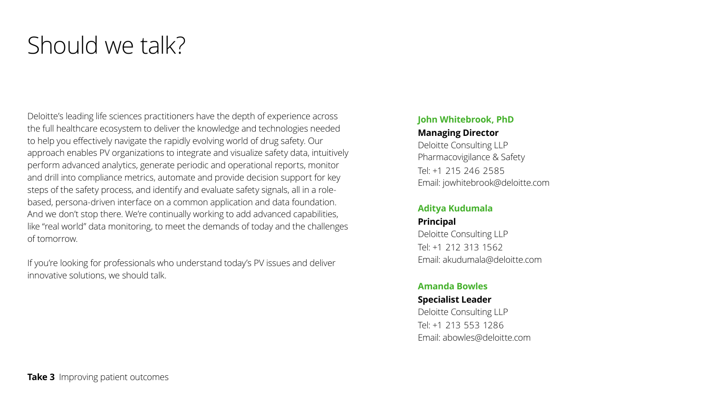## Should we talk?

Deloitte's leading life sciences practitioners have the depth of experience across the full healthcare ecosystem to deliver the knowledge and technologies needed to help you effectively navigate the rapidly evolving world of drug safety. Our approach enables PV organizations to integrate and visualize safety data, intuitively perform advanced analytics, generate periodic and operational reports, monitor and drill into compliance metrics, automate and provide decision support for key steps of the safety process, and identify and evaluate safety signals, all in a rolebased, persona-driven interface on a common application and data foundation. And we don't stop there. We're continually working to add advanced capabilities, like "real world" data monitoring, to meet the demands of today and the challenges of tomorrow.

If you're looking for professionals who understand today's PV issues and deliver innovative solutions, we should talk.

### **John Whitebrook, PhD**

#### **Managing Director**

Deloitte Consulting LLP Pharmacovigilance & Safety Tel: +1 215 246 2585 Email: jowhitebrook@deloitte.com

### **Aditya Kudumala**

**Principal** Deloitte Consulting LLP Tel: +1 212 313 1562 Email: akudumala@deloitte.com

### **Amanda Bowles**

### **Specialist Leader** Deloitte Consulting LLP Tel: +1 213 553 1286 Email: abowles@deloitte.com